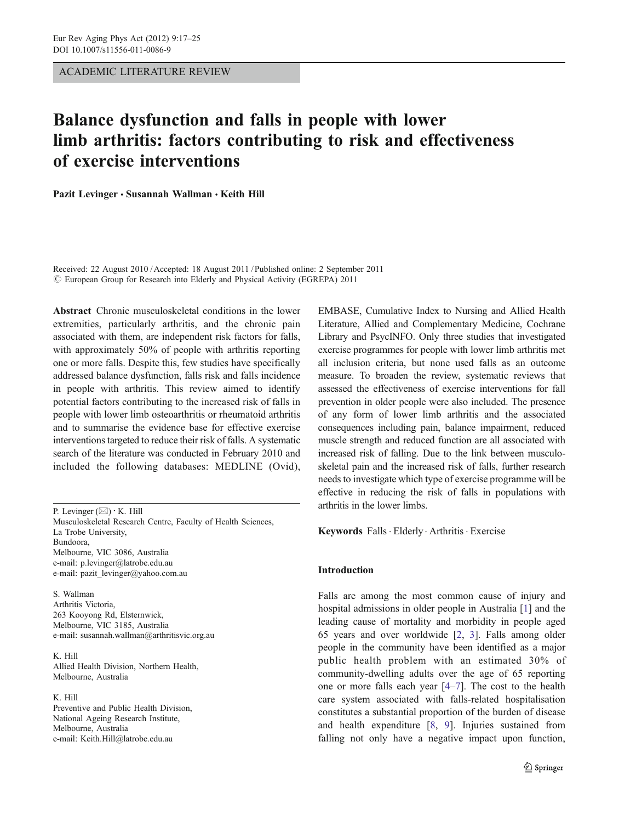ACADEMIC LITERATURE REVIEW

# Balance dysfunction and falls in people with lower limb arthritis: factors contributing to risk and effectiveness of exercise interventions

Pazit Levinger · Susannah Wallman · Keith Hill

Received: 22 August 2010 /Accepted: 18 August 2011 / Published online: 2 September 2011 © European Group for Research into Elderly and Physical Activity (EGREPA) 2011

Abstract Chronic musculoskeletal conditions in the lower extremities, particularly arthritis, and the chronic pain associated with them, are independent risk factors for falls, with approximately 50% of people with arthritis reporting one or more falls. Despite this, few studies have specifically addressed balance dysfunction, falls risk and falls incidence in people with arthritis. This review aimed to identify potential factors contributing to the increased risk of falls in people with lower limb osteoarthritis or rheumatoid arthritis and to summarise the evidence base for effective exercise interventions targeted to reduce their risk of falls. A systematic search of the literature was conducted in February 2010 and included the following databases: MEDLINE (Ovid),

P. Levinger  $(\boxtimes) \cdot K$ . Hill Musculoskeletal Research Centre, Faculty of Health Sciences, La Trobe University, Bundoora, Melbourne, VIC 3086, Australia e-mail: p.levinger@latrobe.edu.au e-mail: pazit\_levinger@yahoo.com.au

S. Wallman Arthritis Victoria, 263 Kooyong Rd, Elsternwick, Melbourne, VIC 3185, Australia e-mail: susannah.wallman@arthritisvic.org.au

K. Hill Allied Health Division, Northern Health, Melbourne, Australia

### K. Hill

Preventive and Public Health Division, National Ageing Research Institute, Melbourne, Australia e-mail: Keith.Hill@latrobe.edu.au

EMBASE, Cumulative Index to Nursing and Allied Health Literature, Allied and Complementary Medicine, Cochrane Library and PsycINFO. Only three studies that investigated exercise programmes for people with lower limb arthritis met all inclusion criteria, but none used falls as an outcome measure. To broaden the review, systematic reviews that assessed the effectiveness of exercise interventions for fall prevention in older people were also included. The presence of any form of lower limb arthritis and the associated consequences including pain, balance impairment, reduced muscle strength and reduced function are all associated with increased risk of falling. Due to the link between musculoskeletal pain and the increased risk of falls, further research needs to investigate which type of exercise programme will be effective in reducing the risk of falls in populations with arthritis in the lower limbs.

Keywords Falls . Elderly . Arthritis . Exercise

## Introduction

Falls are among the most common cause of injury and hospital admissions in older people in Australia [[1\]](#page-5-0) and the leading cause of mortality and morbidity in people aged 65 years and over worldwide [\[2,](#page-5-0) [3](#page-5-0)]. Falls among older people in the community have been identified as a major public health problem with an estimated 30% of community-dwelling adults over the age of 65 reporting one or more falls each year [\[4](#page-5-0)–[7](#page-6-0)]. The cost to the health care system associated with falls-related hospitalisation constitutes a substantial proportion of the burden of disease and health expenditure [\[8](#page-6-0), [9\]](#page-6-0). Injuries sustained from falling not only have a negative impact upon function,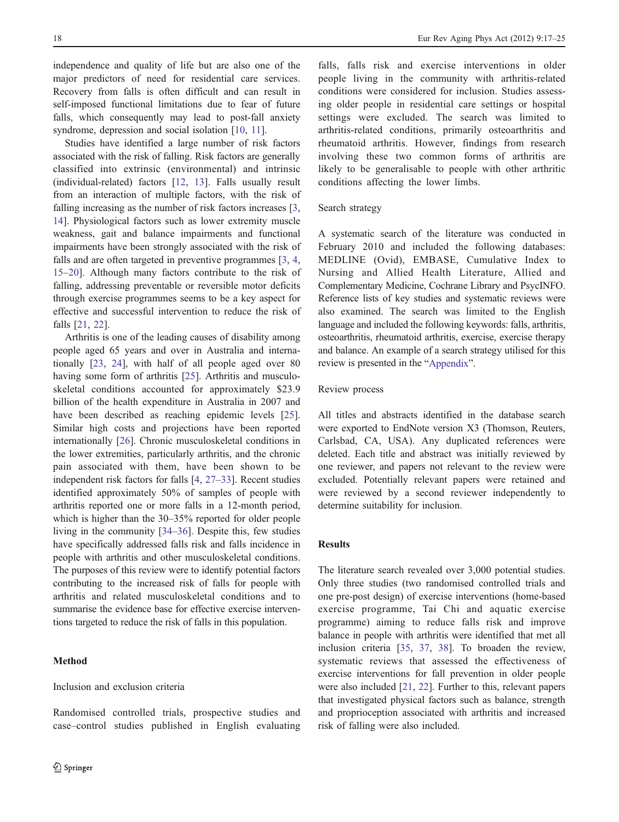independence and quality of life but are also one of the major predictors of need for residential care services. Recovery from falls is often difficult and can result in self-imposed functional limitations due to fear of future falls, which consequently may lead to post-fall anxiety syndrome, depression and social isolation [[10,](#page-6-0) [11](#page-6-0)].

Studies have identified a large number of risk factors associated with the risk of falling. Risk factors are generally classified into extrinsic (environmental) and intrinsic (individual-related) factors [[12,](#page-6-0) [13\]](#page-6-0). Falls usually result from an interaction of multiple factors, with the risk of falling increasing as the number of risk factors increases [[3,](#page-5-0) [14](#page-6-0)]. Physiological factors such as lower extremity muscle weakness, gait and balance impairments and functional impairments have been strongly associated with the risk of falls and are often targeted in preventive programmes [\[3](#page-5-0), [4,](#page-5-0) [15](#page-6-0)–[20\]](#page-6-0). Although many factors contribute to the risk of falling, addressing preventable or reversible motor deficits through exercise programmes seems to be a key aspect for effective and successful intervention to reduce the risk of falls [\[21](#page-6-0), [22](#page-6-0)].

Arthritis is one of the leading causes of disability among people aged 65 years and over in Australia and internationally [[23,](#page-6-0) [24](#page-6-0)], with half of all people aged over 80 having some form of arthritis [\[25](#page-6-0)]. Arthritis and musculoskeletal conditions accounted for approximately \$23.9 billion of the health expenditure in Australia in 2007 and have been described as reaching epidemic levels [\[25](#page-6-0)]. Similar high costs and projections have been reported internationally [\[26](#page-6-0)]. Chronic musculoskeletal conditions in the lower extremities, particularly arthritis, and the chronic pain associated with them, have been shown to be independent risk factors for falls [\[4](#page-5-0), [27](#page-6-0)–[33\]](#page-6-0). Recent studies identified approximately 50% of samples of people with arthritis reported one or more falls in a 12-month period, which is higher than the 30–35% reported for older people living in the community [[34](#page-6-0)–[36\]](#page-6-0). Despite this, few studies have specifically addressed falls risk and falls incidence in people with arthritis and other musculoskeletal conditions. The purposes of this review were to identify potential factors contributing to the increased risk of falls for people with arthritis and related musculoskeletal conditions and to summarise the evidence base for effective exercise interventions targeted to reduce the risk of falls in this population.

# Method

# Inclusion and exclusion criteria

Randomised controlled trials, prospective studies and case–control studies published in English evaluating

falls, falls risk and exercise interventions in older people living in the community with arthritis-related conditions were considered for inclusion. Studies assessing older people in residential care settings or hospital settings were excluded. The search was limited to arthritis-related conditions, primarily osteoarthritis and rheumatoid arthritis. However, findings from research involving these two common forms of arthritis are likely to be generalisable to people with other arthritic conditions affecting the lower limbs.

# Search strategy

A systematic search of the literature was conducted in February 2010 and included the following databases: MEDLINE (Ovid), EMBASE, Cumulative Index to Nursing and Allied Health Literature, Allied and Complementary Medicine, Cochrane Library and PsycINFO. Reference lists of key studies and systematic reviews were also examined. The search was limited to the English language and included the following keywords: falls, arthritis, osteoarthritis, rheumatoid arthritis, exercise, exercise therapy and balance. An example of a search strategy utilised for this review is presented in the "[Appendix](#page-5-0)".

## Review process

All titles and abstracts identified in the database search were exported to EndNote version X3 (Thomson, Reuters, Carlsbad, CA, USA). Any duplicated references were deleted. Each title and abstract was initially reviewed by one reviewer, and papers not relevant to the review were excluded. Potentially relevant papers were retained and were reviewed by a second reviewer independently to determine suitability for inclusion.

# Results

The literature search revealed over 3,000 potential studies. Only three studies (two randomised controlled trials and one pre-post design) of exercise interventions (home-based exercise programme, Tai Chi and aquatic exercise programme) aiming to reduce falls risk and improve balance in people with arthritis were identified that met all inclusion criteria [\[35](#page-6-0), [37](#page-6-0), [38\]](#page-6-0). To broaden the review, systematic reviews that assessed the effectiveness of exercise interventions for fall prevention in older people were also included [\[21](#page-6-0), [22\]](#page-6-0). Further to this, relevant papers that investigated physical factors such as balance, strength and proprioception associated with arthritis and increased risk of falling were also included.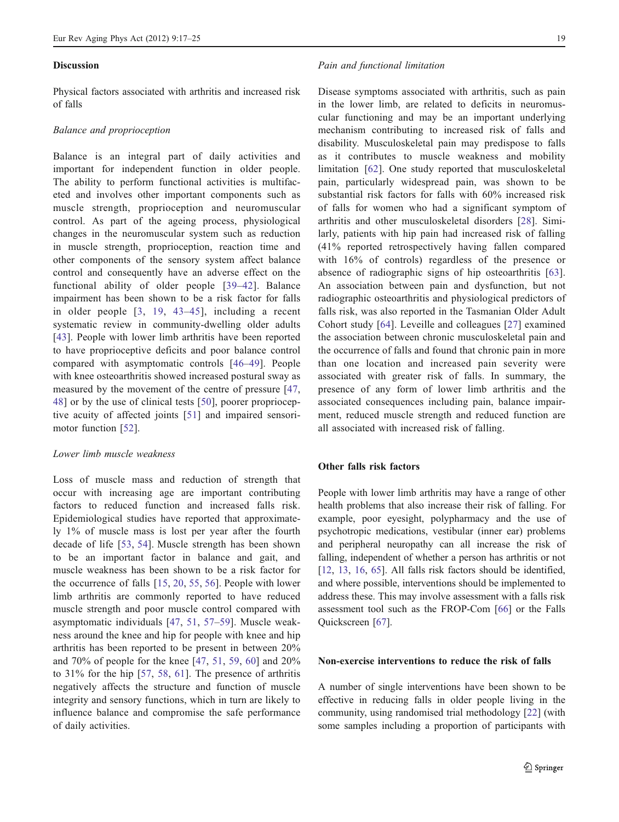#### **Discussion**

Physical factors associated with arthritis and increased risk of falls

#### Balance and proprioception

Balance is an integral part of daily activities and important for independent function in older people. The ability to perform functional activities is multifaceted and involves other important components such as muscle strength, proprioception and neuromuscular control. As part of the ageing process, physiological changes in the neuromuscular system such as reduction in muscle strength, proprioception, reaction time and other components of the sensory system affect balance control and consequently have an adverse effect on the functional ability of older people [[39](#page-6-0)–[42\]](#page-6-0). Balance impairment has been shown to be a risk factor for falls in older people [[3,](#page-5-0) [19](#page-6-0), [43](#page-6-0)–[45](#page-6-0)], including a recent systematic review in community-dwelling older adults [\[43\]](#page-6-0). People with lower limb arthritis have been reported to have proprioceptive deficits and poor balance control compared with asymptomatic controls [[46](#page-7-0)–[49\]](#page-7-0). People with knee osteoarthritis showed increased postural sway as measured by the movement of the centre of pressure [\[47,](#page-7-0) [48](#page-7-0)] or by the use of clinical tests [\[50\]](#page-7-0), poorer proprioceptive acuity of affected joints [[51](#page-7-0)] and impaired sensorimotor function [[52\]](#page-7-0).

## Lower limb muscle weakness

Loss of muscle mass and reduction of strength that occur with increasing age are important contributing factors to reduced function and increased falls risk. Epidemiological studies have reported that approximately 1% of muscle mass is lost per year after the fourth decade of life [[53,](#page-7-0) [54](#page-7-0)]. Muscle strength has been shown to be an important factor in balance and gait, and muscle weakness has been shown to be a risk factor for the occurrence of falls [\[15,](#page-6-0) [20,](#page-6-0) [55](#page-7-0), [56](#page-7-0)]. People with lower limb arthritis are commonly reported to have reduced muscle strength and poor muscle control compared with asymptomatic individuals [\[47,](#page-7-0) [51,](#page-7-0) [57](#page-7-0)–[59\]](#page-7-0). Muscle weakness around the knee and hip for people with knee and hip arthritis has been reported to be present in between 20% and 70% of people for the knee [\[47,](#page-7-0) [51,](#page-7-0) [59](#page-7-0), [60](#page-7-0)] and 20% to 31% for the hip [[57,](#page-7-0) [58](#page-7-0), [61](#page-7-0)]. The presence of arthritis negatively affects the structure and function of muscle integrity and sensory functions, which in turn are likely to influence balance and compromise the safe performance of daily activities.

#### Pain and functional limitation

Disease symptoms associated with arthritis, such as pain in the lower limb, are related to deficits in neuromuscular functioning and may be an important underlying mechanism contributing to increased risk of falls and disability. Musculoskeletal pain may predispose to falls as it contributes to muscle weakness and mobility limitation [\[62](#page-7-0)]. One study reported that musculoskeletal pain, particularly widespread pain, was shown to be substantial risk factors for falls with 60% increased risk of falls for women who had a significant symptom of arthritis and other musculoskeletal disorders [\[28\]](#page-6-0). Similarly, patients with hip pain had increased risk of falling (41% reported retrospectively having fallen compared with 16% of controls) regardless of the presence or absence of radiographic signs of hip osteoarthritis [\[63](#page-7-0)]. An association between pain and dysfunction, but not radiographic osteoarthritis and physiological predictors of falls risk, was also reported in the Tasmanian Older Adult Cohort study [[64](#page-7-0)]. Leveille and colleagues [\[27\]](#page-6-0) examined the association between chronic musculoskeletal pain and the occurrence of falls and found that chronic pain in more than one location and increased pain severity were associated with greater risk of falls. In summary, the presence of any form of lower limb arthritis and the associated consequences including pain, balance impairment, reduced muscle strength and reduced function are all associated with increased risk of falling.

# Other falls risk factors

People with lower limb arthritis may have a range of other health problems that also increase their risk of falling. For example, poor eyesight, polypharmacy and the use of psychotropic medications, vestibular (inner ear) problems and peripheral neuropathy can all increase the risk of falling, independent of whether a person has arthritis or not [\[12](#page-6-0), [13](#page-6-0), [16](#page-6-0), [65](#page-7-0)]. All falls risk factors should be identified, and where possible, interventions should be implemented to address these. This may involve assessment with a falls risk assessment tool such as the FROP-Com [\[66](#page-7-0)] or the Falls Quickscreen [\[67](#page-7-0)].

## Non-exercise interventions to reduce the risk of falls

A number of single interventions have been shown to be effective in reducing falls in older people living in the community, using randomised trial methodology [\[22](#page-6-0)] (with some samples including a proportion of participants with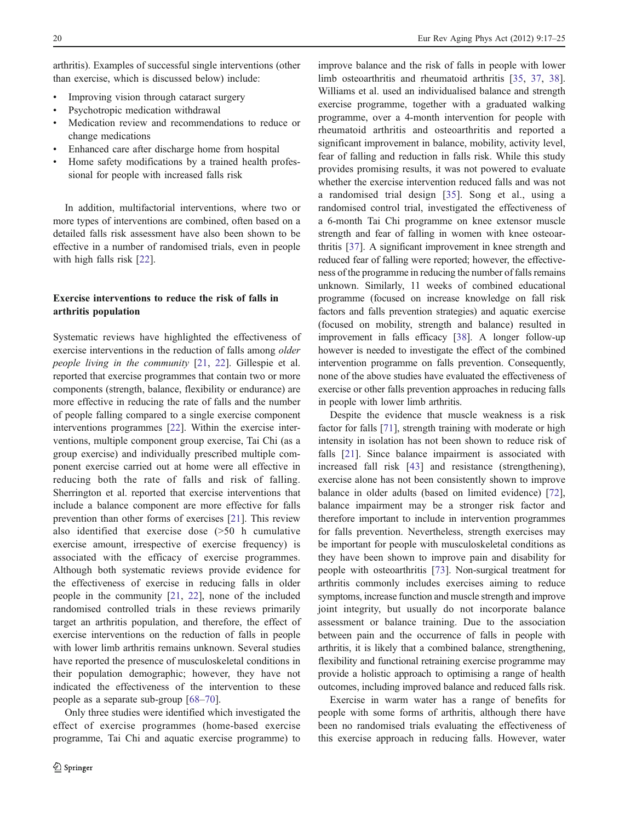arthritis). Examples of successful single interventions (other than exercise, which is discussed below) include:

- Improving vision through cataract surgery
- Psychotropic medication withdrawal
- Medication review and recommendations to reduce or change medications
- Enhanced care after discharge home from hospital
- Home safety modifications by a trained health professional for people with increased falls risk

In addition, multifactorial interventions, where two or more types of interventions are combined, often based on a detailed falls risk assessment have also been shown to be effective in a number of randomised trials, even in people with high falls risk [\[22](#page-6-0)].

# Exercise interventions to reduce the risk of falls in arthritis population

Systematic reviews have highlighted the effectiveness of exercise interventions in the reduction of falls among older people living in the community [[21,](#page-6-0) [22](#page-6-0)]. Gillespie et al. reported that exercise programmes that contain two or more components (strength, balance, flexibility or endurance) are more effective in reducing the rate of falls and the number of people falling compared to a single exercise component interventions programmes [[22\]](#page-6-0). Within the exercise interventions, multiple component group exercise, Tai Chi (as a group exercise) and individually prescribed multiple component exercise carried out at home were all effective in reducing both the rate of falls and risk of falling. Sherrington et al. reported that exercise interventions that include a balance component are more effective for falls prevention than other forms of exercises [\[21](#page-6-0)]. This review also identified that exercise dose (>50 h cumulative exercise amount, irrespective of exercise frequency) is associated with the efficacy of exercise programmes. Although both systematic reviews provide evidence for the effectiveness of exercise in reducing falls in older people in the community [\[21](#page-6-0), [22](#page-6-0)], none of the included randomised controlled trials in these reviews primarily target an arthritis population, and therefore, the effect of exercise interventions on the reduction of falls in people with lower limb arthritis remains unknown. Several studies have reported the presence of musculoskeletal conditions in their population demographic; however, they have not indicated the effectiveness of the intervention to these people as a separate sub-group [\[68](#page-7-0)–[70](#page-7-0)].

Only three studies were identified which investigated the effect of exercise programmes (home-based exercise programme, Tai Chi and aquatic exercise programme) to

improve balance and the risk of falls in people with lower limb osteoarthritis and rheumatoid arthritis [[35,](#page-6-0) [37](#page-6-0), [38\]](#page-6-0). Williams et al. used an individualised balance and strength exercise programme, together with a graduated walking programme, over a 4-month intervention for people with rheumatoid arthritis and osteoarthritis and reported a significant improvement in balance, mobility, activity level, fear of falling and reduction in falls risk. While this study provides promising results, it was not powered to evaluate whether the exercise intervention reduced falls and was not a randomised trial design [\[35](#page-6-0)]. Song et al., using a randomised control trial, investigated the effectiveness of a 6-month Tai Chi programme on knee extensor muscle strength and fear of falling in women with knee osteoarthritis [\[37](#page-6-0)]. A significant improvement in knee strength and reduced fear of falling were reported; however, the effectiveness of the programme in reducing the number of falls remains unknown. Similarly, 11 weeks of combined educational programme (focused on increase knowledge on fall risk factors and falls prevention strategies) and aquatic exercise (focused on mobility, strength and balance) resulted in improvement in falls efficacy [\[38](#page-6-0)]. A longer follow-up however is needed to investigate the effect of the combined intervention programme on falls prevention. Consequently, none of the above studies have evaluated the effectiveness of exercise or other falls prevention approaches in reducing falls in people with lower limb arthritis.

Despite the evidence that muscle weakness is a risk factor for falls [\[71](#page-7-0)], strength training with moderate or high intensity in isolation has not been shown to reduce risk of falls [[21\]](#page-6-0). Since balance impairment is associated with increased fall risk [\[43](#page-6-0)] and resistance (strengthening), exercise alone has not been consistently shown to improve balance in older adults (based on limited evidence) [[72\]](#page-7-0), balance impairment may be a stronger risk factor and therefore important to include in intervention programmes for falls prevention. Nevertheless, strength exercises may be important for people with musculoskeletal conditions as they have been shown to improve pain and disability for people with osteoarthritis [[73\]](#page-7-0). Non-surgical treatment for arthritis commonly includes exercises aiming to reduce symptoms, increase function and muscle strength and improve joint integrity, but usually do not incorporate balance assessment or balance training. Due to the association between pain and the occurrence of falls in people with arthritis, it is likely that a combined balance, strengthening, flexibility and functional retraining exercise programme may provide a holistic approach to optimising a range of health outcomes, including improved balance and reduced falls risk.

Exercise in warm water has a range of benefits for people with some forms of arthritis, although there have been no randomised trials evaluating the effectiveness of this exercise approach in reducing falls. However, water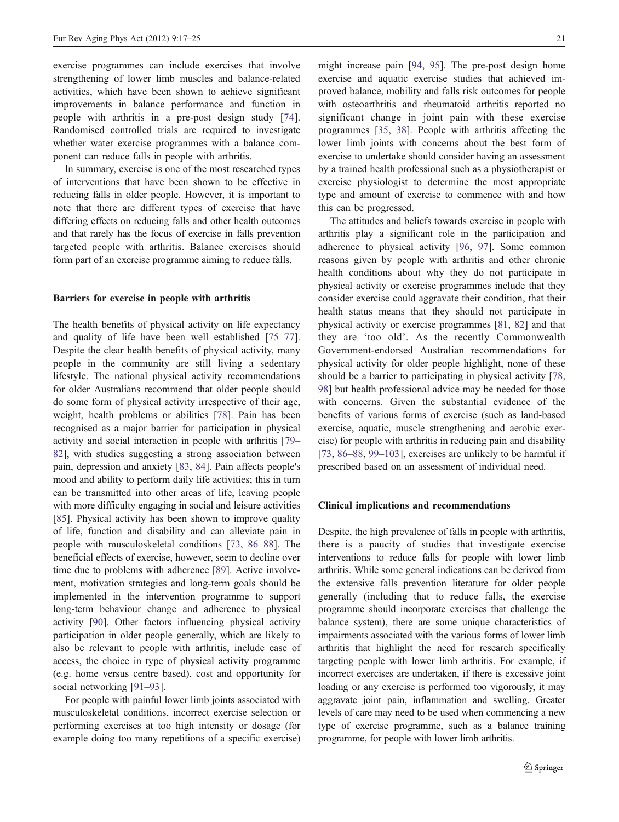exercise programmes can include exercises that involve strengthening of lower limb muscles and balance-related activities, which have been shown to achieve significant improvements in balance performance and function in people with arthritis in a pre-post design study [\[74](#page-7-0)]. Randomised controlled trials are required to investigate whether water exercise programmes with a balance component can reduce falls in people with arthritis.

In summary, exercise is one of the most researched types of interventions that have been shown to be effective in reducing falls in older people. However, it is important to note that there are different types of exercise that have differing effects on reducing falls and other health outcomes and that rarely has the focus of exercise in falls prevention targeted people with arthritis. Balance exercises should form part of an exercise programme aiming to reduce falls.

## Barriers for exercise in people with arthritis

The health benefits of physical activity on life expectancy and quality of life have been well established [\[75](#page-7-0)–[77](#page-7-0)]. Despite the clear health benefits of physical activity, many people in the community are still living a sedentary lifestyle. The national physical activity recommendations for older Australians recommend that older people should do some form of physical activity irrespective of their age, weight, health problems or abilities [[78\]](#page-7-0). Pain has been recognised as a major barrier for participation in physical activity and social interaction in people with arthritis [\[79](#page-7-0)– [82](#page-7-0)], with studies suggesting a strong association between pain, depression and anxiety [\[83](#page-7-0), [84](#page-8-0)]. Pain affects people's mood and ability to perform daily life activities; this in turn can be transmitted into other areas of life, leaving people with more difficulty engaging in social and leisure activities [\[85](#page-8-0)]. Physical activity has been shown to improve quality of life, function and disability and can alleviate pain in people with musculoskeletal conditions [\[73](#page-7-0), [86](#page-8-0)–[88](#page-8-0)]. The beneficial effects of exercise, however, seem to decline over time due to problems with adherence [[89\]](#page-8-0). Active involvement, motivation strategies and long-term goals should be implemented in the intervention programme to support long-term behaviour change and adherence to physical activity [\[90](#page-8-0)]. Other factors influencing physical activity participation in older people generally, which are likely to also be relevant to people with arthritis, include ease of access, the choice in type of physical activity programme (e.g. home versus centre based), cost and opportunity for social networking [[91](#page-8-0)–[93\]](#page-8-0).

For people with painful lower limb joints associated with musculoskeletal conditions, incorrect exercise selection or performing exercises at too high intensity or dosage (for example doing too many repetitions of a specific exercise)

might increase pain [\[94](#page-8-0), [95\]](#page-8-0). The pre-post design home exercise and aquatic exercise studies that achieved improved balance, mobility and falls risk outcomes for people with osteoarthritis and rheumatoid arthritis reported no significant change in joint pain with these exercise programmes [[35,](#page-6-0) [38](#page-6-0)]. People with arthritis affecting the lower limb joints with concerns about the best form of exercise to undertake should consider having an assessment by a trained health professional such as a physiotherapist or exercise physiologist to determine the most appropriate type and amount of exercise to commence with and how this can be progressed.

The attitudes and beliefs towards exercise in people with arthritis play a significant role in the participation and adherence to physical activity [\[96](#page-8-0), [97](#page-8-0)]. Some common reasons given by people with arthritis and other chronic health conditions about why they do not participate in physical activity or exercise programmes include that they consider exercise could aggravate their condition, that their health status means that they should not participate in physical activity or exercise programmes [\[81](#page-7-0), [82](#page-7-0)] and that they are 'too old'. As the recently Commonwealth Government-endorsed Australian recommendations for physical activity for older people highlight, none of these should be a barrier to participating in physical activity [[78,](#page-7-0) [98](#page-8-0)] but health professional advice may be needed for those with concerns. Given the substantial evidence of the benefits of various forms of exercise (such as land-based exercise, aquatic, muscle strengthening and aerobic exercise) for people with arthritis in reducing pain and disability [\[73](#page-7-0), [86](#page-8-0)–[88,](#page-8-0) [99](#page-8-0)–[103\]](#page-8-0), exercises are unlikely to be harmful if prescribed based on an assessment of individual need.

#### Clinical implications and recommendations

Despite, the high prevalence of falls in people with arthritis, there is a paucity of studies that investigate exercise interventions to reduce falls for people with lower limb arthritis. While some general indications can be derived from the extensive falls prevention literature for older people generally (including that to reduce falls, the exercise programme should incorporate exercises that challenge the balance system), there are some unique characteristics of impairments associated with the various forms of lower limb arthritis that highlight the need for research specifically targeting people with lower limb arthritis. For example, if incorrect exercises are undertaken, if there is excessive joint loading or any exercise is performed too vigorously, it may aggravate joint pain, inflammation and swelling. Greater levels of care may need to be used when commencing a new type of exercise programme, such as a balance training programme, for people with lower limb arthritis.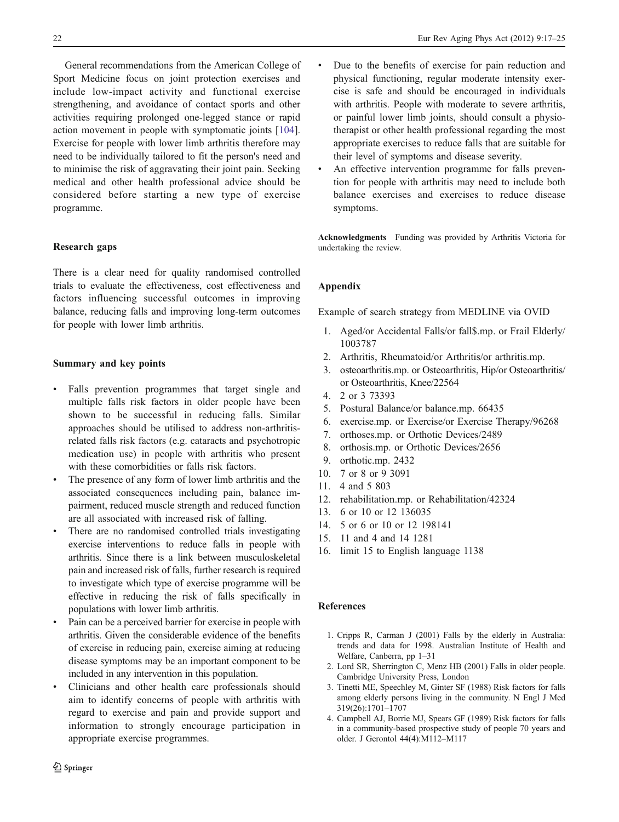<span id="page-5-0"></span>General recommendations from the American College of Sport Medicine focus on joint protection exercises and include low-impact activity and functional exercise strengthening, and avoidance of contact sports and other activities requiring prolonged one-legged stance or rapid action movement in people with symptomatic joints [\[104](#page-8-0)]. Exercise for people with lower limb arthritis therefore may need to be individually tailored to fit the person's need and to minimise the risk of aggravating their joint pain. Seeking medical and other health professional advice should be considered before starting a new type of exercise programme.

## Research gaps

There is a clear need for quality randomised controlled trials to evaluate the effectiveness, cost effectiveness and factors influencing successful outcomes in improving balance, reducing falls and improving long-term outcomes for people with lower limb arthritis.

# Summary and key points

- Falls prevention programmes that target single and multiple falls risk factors in older people have been shown to be successful in reducing falls. Similar approaches should be utilised to address non-arthritisrelated falls risk factors (e.g. cataracts and psychotropic medication use) in people with arthritis who present with these comorbidities or falls risk factors.
- The presence of any form of lower limb arthritis and the associated consequences including pain, balance impairment, reduced muscle strength and reduced function are all associated with increased risk of falling.
- There are no randomised controlled trials investigating exercise interventions to reduce falls in people with arthritis. Since there is a link between musculoskeletal pain and increased risk of falls, further research is required to investigate which type of exercise programme will be effective in reducing the risk of falls specifically in populations with lower limb arthritis.
- Pain can be a perceived barrier for exercise in people with arthritis. Given the considerable evidence of the benefits of exercise in reducing pain, exercise aiming at reducing disease symptoms may be an important component to be included in any intervention in this population.
- Clinicians and other health care professionals should aim to identify concerns of people with arthritis with regard to exercise and pain and provide support and information to strongly encourage participation in appropriate exercise programmes.
- Due to the benefits of exercise for pain reduction and physical functioning, regular moderate intensity exercise is safe and should be encouraged in individuals with arthritis. People with moderate to severe arthritis, or painful lower limb joints, should consult a physiotherapist or other health professional regarding the most appropriate exercises to reduce falls that are suitable for their level of symptoms and disease severity.
- An effective intervention programme for falls prevention for people with arthritis may need to include both balance exercises and exercises to reduce disease symptoms.

Acknowledgments Funding was provided by Arthritis Victoria for undertaking the review.

## Appendix

Example of search strategy from MEDLINE via OVID

- 1. Aged/or Accidental Falls/or fall\$.mp. or Frail Elderly/ 1003787
- 2. Arthritis, Rheumatoid/or Arthritis/or arthritis.mp.
- 3. osteoarthritis.mp. or Osteoarthritis, Hip/or Osteoarthritis/ or Osteoarthritis, Knee/22564
- 4. 2 or 3 73393
- 5. Postural Balance/or balance.mp. 66435
- 6. exercise.mp. or Exercise/or Exercise Therapy/96268
- 7. orthoses.mp. or Orthotic Devices/2489
- 8. orthosis.mp. or Orthotic Devices/2656
- 9. orthotic.mp. 2432
- 10. 7 or 8 or 9 3091
- 11. 4 and 5 803
- 12. rehabilitation.mp. or Rehabilitation/42324
- 13. 6 or 10 or 12 136035
- 14. 5 or 6 or 10 or 12 198141
- 15. 11 and 4 and 14 1281
- 16. limit 15 to English language 1138

# References

- 1. Cripps R, Carman J (2001) Falls by the elderly in Australia: trends and data for 1998. Australian Institute of Health and Welfare, Canberra, pp 1–31
- 2. Lord SR, Sherrington C, Menz HB (2001) Falls in older people. Cambridge University Press, London
- 3. Tinetti ME, Speechley M, Ginter SF (1988) Risk factors for falls among elderly persons living in the community. N Engl J Med 319(26):1701–1707
- 4. Campbell AJ, Borrie MJ, Spears GF (1989) Risk factors for falls in a community-based prospective study of people 70 years and older. J Gerontol 44(4):M112–M117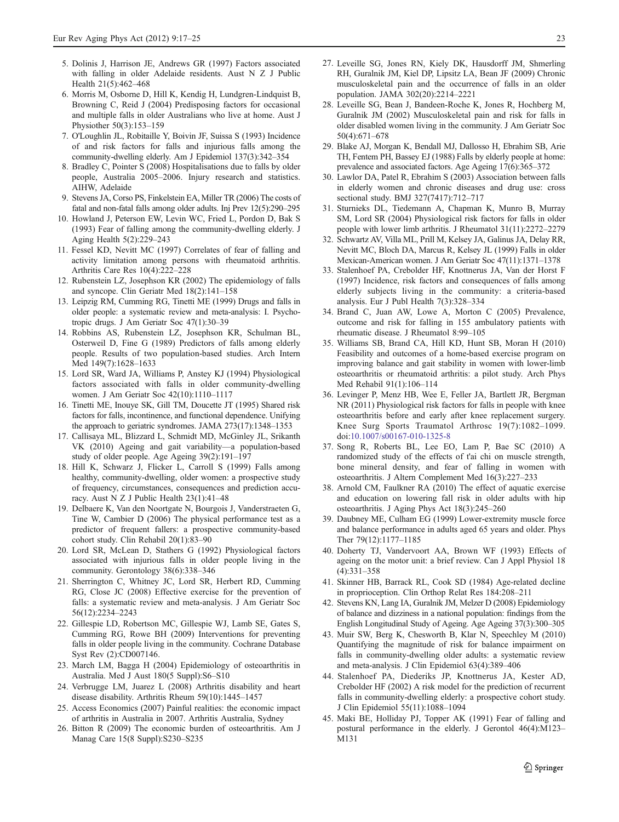- <span id="page-6-0"></span>6. Morris M, Osborne D, Hill K, Kendig H, Lundgren-Lindquist B, Browning C, Reid J (2004) Predisposing factors for occasional and multiple falls in older Australians who live at home. Aust J Physiother 50(3):153–159
- 7. O'Loughlin JL, Robitaille Y, Boivin JF, Suissa S (1993) Incidence of and risk factors for falls and injurious falls among the community-dwelling elderly. Am J Epidemiol 137(3):342–354
- 8. Bradley C, Pointer S (2008) Hospitalisations due to falls by older people, Australia 2005–2006. Injury research and statistics. AIHW, Adelaide
- 9. Stevens JA, Corso PS, Finkelstein EA, Miller TR (2006) The costs of fatal and non-fatal falls among older adults. Inj Prev 12(5):290–295
- 10. Howland J, Peterson EW, Levin WC, Fried L, Pordon D, Bak S (1993) Fear of falling among the community-dwelling elderly. J Aging Health 5(2):229–243
- 11. Fessel KD, Nevitt MC (1997) Correlates of fear of falling and activity limitation among persons with rheumatoid arthritis. Arthritis Care Res 10(4):222–228
- 12. Rubenstein LZ, Josephson KR (2002) The epidemiology of falls and syncope. Clin Geriatr Med 18(2):141–158
- 13. Leipzig RM, Cumming RG, Tinetti ME (1999) Drugs and falls in older people: a systematic review and meta-analysis: I. Psychotropic drugs. J Am Geriatr Soc 47(1):30–39
- 14. Robbins AS, Rubenstein LZ, Josephson KR, Schulman BL, Osterweil D, Fine G (1989) Predictors of falls among elderly people. Results of two population-based studies. Arch Intern Med 149(7):1628–1633
- 15. Lord SR, Ward JA, Williams P, Anstey KJ (1994) Physiological factors associated with falls in older community-dwelling women. J Am Geriatr Soc 42(10):1110–1117
- 16. Tinetti ME, Inouye SK, Gill TM, Doucette JT (1995) Shared risk factors for falls, incontinence, and functional dependence. Unifying the approach to geriatric syndromes. JAMA 273(17):1348–1353
- 17. Callisaya ML, Blizzard L, Schmidt MD, McGinley JL, Srikanth VK (2010) Ageing and gait variability—a population-based study of older people. Age Ageing 39(2):191–197
- 18. Hill K, Schwarz J, Flicker L, Carroll S (1999) Falls among healthy, community-dwelling, older women: a prospective study of frequency, circumstances, consequences and prediction accuracy. Aust N Z J Public Health 23(1):41–48
- 19. Delbaere K, Van den Noortgate N, Bourgois J, Vanderstraeten G, Tine W, Cambier D (2006) The physical performance test as a predictor of frequent fallers: a prospective community-based cohort study. Clin Rehabil 20(1):83–90
- 20. Lord SR, McLean D, Stathers G (1992) Physiological factors associated with injurious falls in older people living in the community. Gerontology 38(6):338–346
- 21. Sherrington C, Whitney JC, Lord SR, Herbert RD, Cumming RG, Close JC (2008) Effective exercise for the prevention of falls: a systematic review and meta-analysis. J Am Geriatr Soc 56(12):2234–2243
- 22. Gillespie LD, Robertson MC, Gillespie WJ, Lamb SE, Gates S, Cumming RG, Rowe BH (2009) Interventions for preventing falls in older people living in the community. Cochrane Database Syst Rev (2):CD007146.
- 23. March LM, Bagga H (2004) Epidemiology of osteoarthritis in Australia. Med J Aust 180(5 Suppl):S6–S10
- 24. Verbrugge LM, Juarez L (2008) Arthritis disability and heart disease disability. Arthritis Rheum 59(10):1445–1457
- 25. Access Economics (2007) Painful realities: the economic impact of arthritis in Australia in 2007. Arthritis Australia, Sydney
- 26. Bitton R (2009) The economic burden of osteoarthritis. Am J Manag Care 15(8 Suppl):S230–S235
- 27. Leveille SG, Jones RN, Kiely DK, Hausdorff JM, Shmerling RH, Guralnik JM, Kiel DP, Lipsitz LA, Bean JF (2009) Chronic musculoskeletal pain and the occurrence of falls in an older population. JAMA 302(20):2214–2221
- 28. Leveille SG, Bean J, Bandeen-Roche K, Jones R, Hochberg M, Guralnik JM (2002) Musculoskeletal pain and risk for falls in older disabled women living in the community. J Am Geriatr Soc 50(4):671–678
- 29. Blake AJ, Morgan K, Bendall MJ, Dallosso H, Ebrahim SB, Arie TH, Fentem PH, Bassey EJ (1988) Falls by elderly people at home: prevalence and associated factors. Age Ageing 17(6):365–372
- 30. Lawlor DA, Patel R, Ebrahim S (2003) Association between falls in elderly women and chronic diseases and drug use: cross sectional study. BMJ 327(7417):712–717
- 31. Sturnieks DL, Tiedemann A, Chapman K, Munro B, Murray SM, Lord SR (2004) Physiological risk factors for falls in older people with lower limb arthritis. J Rheumatol 31(11):2272–2279
- 32. Schwartz AV, Villa ML, Prill M, Kelsey JA, Galinus JA, Delay RR, Nevitt MC, Bloch DA, Marcus R, Kelsey JL (1999) Falls in older Mexican-American women. J Am Geriatr Soc 47(11):1371–1378
- 33. Stalenhoef PA, Crebolder HF, Knottnerus JA, Van der Horst F (1997) Incidence, risk factors and consequences of falls among elderly subjects living in the community: a criteria-based analysis. Eur J Publ Health 7(3):328–334
- 34. Brand C, Juan AW, Lowe A, Morton C (2005) Prevalence, outcome and risk for falling in 155 ambulatory patients with rheumatic disease. J Rheumatol 8:99–105
- 35. Williams SB, Brand CA, Hill KD, Hunt SB, Moran H (2010) Feasibility and outcomes of a home-based exercise program on improving balance and gait stability in women with lower-limb osteoarthritis or rheumatoid arthritis: a pilot study. Arch Phys Med Rehabil 91(1):106–114
- 36. Levinger P, Menz HB, Wee E, Feller JA, Bartlett JR, Bergman NR (2011) Physiological risk factors for falls in people with knee osteoarthritis before and early after knee replacement surgery. Knee Surg Sports Traumatol Arthrosc 19(7):1082–1099. doi[:10.1007/s00167-010-1325-8](http://dx.doi.org/10.1007/s00167-010-1325-8)
- 37. Song R, Roberts BL, Lee EO, Lam P, Bae SC (2010) A randomized study of the effects of t'ai chi on muscle strength, bone mineral density, and fear of falling in women with osteoarthritis. J Altern Complement Med 16(3):227–233
- 38. Arnold CM, Faulkner RA (2010) The effect of aquatic exercise and education on lowering fall risk in older adults with hip osteoarthritis. J Aging Phys Act 18(3):245–260
- 39. Daubney ME, Culham EG (1999) Lower-extremity muscle force and balance performance in adults aged 65 years and older. Phys Ther 79(12):1177–1185
- 40. Doherty TJ, Vandervoort AA, Brown WF (1993) Effects of ageing on the motor unit: a brief review. Can J Appl Physiol 18 (4):331–358
- 41. Skinner HB, Barrack RL, Cook SD (1984) Age-related decline in proprioception. Clin Orthop Relat Res 184:208–211
- 42. Stevens KN, Lang IA, Guralnik JM, Melzer D (2008) Epidemiology of balance and dizziness in a national population: findings from the English Longitudinal Study of Ageing. Age Ageing 37(3):300–305
- 43. Muir SW, Berg K, Chesworth B, Klar N, Speechley M (2010) Quantifying the magnitude of risk for balance impairment on falls in community-dwelling older adults: a systematic review and meta-analysis. J Clin Epidemiol 63(4):389–406
- 44. Stalenhoef PA, Diederiks JP, Knottnerus JA, Kester AD, Crebolder HF (2002) A risk model for the prediction of recurrent falls in community-dwelling elderly: a prospective cohort study. J Clin Epidemiol 55(11):1088–1094
- 45. Maki BE, Holliday PJ, Topper AK (1991) Fear of falling and postural performance in the elderly. J Gerontol 46(4):M123– M131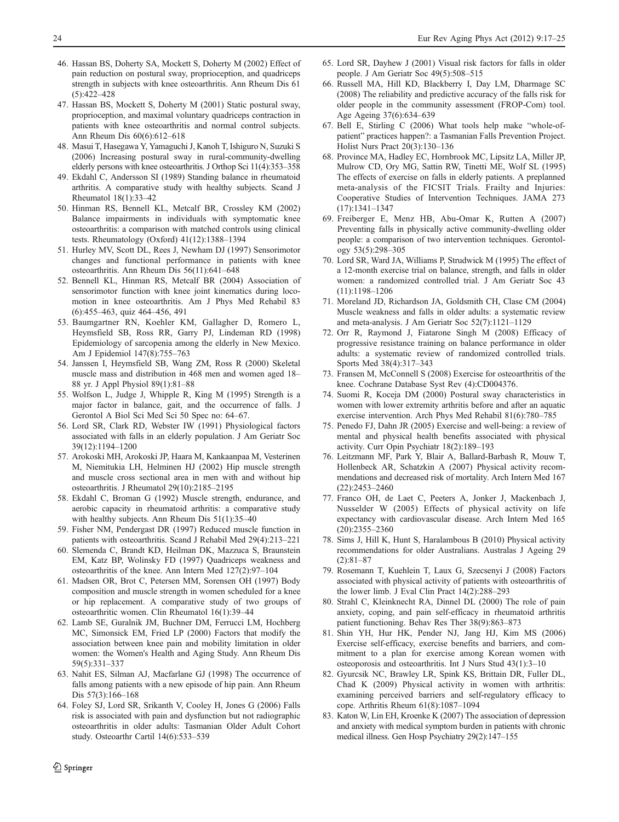- <span id="page-7-0"></span>46. Hassan BS, Doherty SA, Mockett S, Doherty M (2002) Effect of pain reduction on postural sway, proprioception, and quadriceps strength in subjects with knee osteoarthritis. Ann Rheum Dis 61 (5):422–428
- 47. Hassan BS, Mockett S, Doherty M (2001) Static postural sway, proprioception, and maximal voluntary quadriceps contraction in patients with knee osteoarthritis and normal control subjects. Ann Rheum Dis 60(6):612–618
- 48. Masui T, Hasegawa Y, Yamaguchi J, Kanoh T, Ishiguro N, Suzuki S (2006) Increasing postural sway in rural-community-dwelling elderly persons with knee osteoarthritis. J Orthop Sci 11(4):353–358
- 49. Ekdahl C, Andersson SI (1989) Standing balance in rheumatoid arthritis. A comparative study with healthy subjects. Scand J Rheumatol 18(1):33–42
- 50. Hinman RS, Bennell KL, Metcalf BR, Crossley KM (2002) Balance impairments in individuals with symptomatic knee osteoarthritis: a comparison with matched controls using clinical tests. Rheumatology (Oxford) 41(12):1388–1394
- 51. Hurley MV, Scott DL, Rees J, Newham DJ (1997) Sensorimotor changes and functional performance in patients with knee osteoarthritis. Ann Rheum Dis 56(11):641–648
- 52. Bennell KL, Hinman RS, Metcalf BR (2004) Association of sensorimotor function with knee joint kinematics during locomotion in knee osteoarthritis. Am J Phys Med Rehabil 83 (6):455–463, quiz 464–456, 491
- 53. Baumgartner RN, Koehler KM, Gallagher D, Romero L, Heymsfield SB, Ross RR, Garry PJ, Lindeman RD (1998) Epidemiology of sarcopenia among the elderly in New Mexico. Am J Epidemiol 147(8):755–763
- 54. Janssen I, Heymsfield SB, Wang ZM, Ross R (2000) Skeletal muscle mass and distribution in 468 men and women aged 18– 88 yr. J Appl Physiol 89(1):81–88
- 55. Wolfson L, Judge J, Whipple R, King M (1995) Strength is a major factor in balance, gait, and the occurrence of falls. J Gerontol A Biol Sci Med Sci 50 Spec no: 64–67.
- 56. Lord SR, Clark RD, Webster IW (1991) Physiological factors associated with falls in an elderly population. J Am Geriatr Soc 39(12):1194–1200
- 57. Arokoski MH, Arokoski JP, Haara M, Kankaanpaa M, Vesterinen M, Niemitukia LH, Helminen HJ (2002) Hip muscle strength and muscle cross sectional area in men with and without hip osteoarthritis. J Rheumatol 29(10):2185–2195
- 58. Ekdahl C, Broman G (1992) Muscle strength, endurance, and aerobic capacity in rheumatoid arthritis: a comparative study with healthy subjects. Ann Rheum Dis 51(1):35–40
- 59. Fisher NM, Pendergast DR (1997) Reduced muscle function in patients with osteoarthritis. Scand J Rehabil Med 29(4):213–221
- 60. Slemenda C, Brandt KD, Heilman DK, Mazzuca S, Braunstein EM, Katz BP, Wolinsky FD (1997) Quadriceps weakness and osteoarthritis of the knee. Ann Intern Med 127(2):97–104
- 61. Madsen OR, Brot C, Petersen MM, Sorensen OH (1997) Body composition and muscle strength in women scheduled for a knee or hip replacement. A comparative study of two groups of osteoarthritic women. Clin Rheumatol 16(1):39–44
- 62. Lamb SE, Guralnik JM, Buchner DM, Ferrucci LM, Hochberg MC, Simonsick EM, Fried LP (2000) Factors that modify the association between knee pain and mobility limitation in older women: the Women's Health and Aging Study. Ann Rheum Dis 59(5):331–337
- 63. Nahit ES, Silman AJ, Macfarlane GJ (1998) The occurrence of falls among patients with a new episode of hip pain. Ann Rheum Dis 57(3):166–168
- 64. Foley SJ, Lord SR, Srikanth V, Cooley H, Jones G (2006) Falls risk is associated with pain and dysfunction but not radiographic osteoarthritis in older adults: Tasmanian Older Adult Cohort study. Osteoarthr Cartil 14(6):533–539
- 65. Lord SR, Dayhew J (2001) Visual risk factors for falls in older people. J Am Geriatr Soc 49(5):508–515
- 66. Russell MA, Hill KD, Blackberry I, Day LM, Dharmage SC (2008) The reliability and predictive accuracy of the falls risk for older people in the community assessment (FROP-Com) tool. Age Ageing 37(6):634–639
- 67. Bell E, Stirling C (2006) What tools help make "whole-ofpatient" practices happen?: a Tasmanian Falls Prevention Project. Holist Nurs Pract 20(3):130–136
- 68. Province MA, Hadley EC, Hornbrook MC, Lipsitz LA, Miller JP, Mulrow CD, Ory MG, Sattin RW, Tinetti ME, Wolf SL (1995) The effects of exercise on falls in elderly patients. A preplanned meta-analysis of the FICSIT Trials. Frailty and Injuries: Cooperative Studies of Intervention Techniques. JAMA 273 (17):1341–1347
- 69. Freiberger E, Menz HB, Abu-Omar K, Rutten A (2007) Preventing falls in physically active community-dwelling older people: a comparison of two intervention techniques. Gerontology 53(5):298–305
- 70. Lord SR, Ward JA, Williams P, Strudwick M (1995) The effect of a 12-month exercise trial on balance, strength, and falls in older women: a randomized controlled trial. J Am Geriatr Soc 43 (11):1198–1206
- 71. Moreland JD, Richardson JA, Goldsmith CH, Clase CM (2004) Muscle weakness and falls in older adults: a systematic review and meta-analysis. J Am Geriatr Soc 52(7):1121–1129
- 72. Orr R, Raymond J, Fiatarone Singh M (2008) Efficacy of progressive resistance training on balance performance in older adults: a systematic review of randomized controlled trials. Sports Med 38(4):317–343
- 73. Fransen M, McConnell S (2008) Exercise for osteoarthritis of the knee. Cochrane Database Syst Rev (4):CD004376.
- 74. Suomi R, Koceja DM (2000) Postural sway characteristics in women with lower extremity arthritis before and after an aquatic exercise intervention. Arch Phys Med Rehabil 81(6):780–785
- 75. Penedo FJ, Dahn JR (2005) Exercise and well-being: a review of mental and physical health benefits associated with physical activity. Curr Opin Psychiatr 18(2):189–193
- 76. Leitzmann MF, Park Y, Blair A, Ballard-Barbash R, Mouw T, Hollenbeck AR, Schatzkin A (2007) Physical activity recommendations and decreased risk of mortality. Arch Intern Med 167 (22):2453–2460
- 77. Franco OH, de Laet C, Peeters A, Jonker J, Mackenbach J, Nusselder W (2005) Effects of physical activity on life expectancy with cardiovascular disease. Arch Intern Med 165 (20):2355–2360
- 78. Sims J, Hill K, Hunt S, Haralambous B (2010) Physical activity recommendations for older Australians. Australas J Ageing 29 (2):81–87
- 79. Rosemann T, Kuehlein T, Laux G, Szecsenyi J (2008) Factors associated with physical activity of patients with osteoarthritis of the lower limb. J Eval Clin Pract 14(2):288–293
- 80. Strahl C, Kleinknecht RA, Dinnel DL (2000) The role of pain anxiety, coping, and pain self-efficacy in rheumatoid arthritis patient functioning. Behav Res Ther 38(9):863–873
- 81. Shin YH, Hur HK, Pender NJ, Jang HJ, Kim MS (2006) Exercise self-efficacy, exercise benefits and barriers, and commitment to a plan for exercise among Korean women with osteoporosis and osteoarthritis. Int J Nurs Stud 43(1):3–10
- 82. Gyurcsik NC, Brawley LR, Spink KS, Brittain DR, Fuller DL, Chad K (2009) Physical activity in women with arthritis: examining perceived barriers and self-regulatory efficacy to cope. Arthritis Rheum 61(8):1087–1094
- 83. Katon W, Lin EH, Kroenke K (2007) The association of depression and anxiety with medical symptom burden in patients with chronic medical illness. Gen Hosp Psychiatry 29(2):147–155